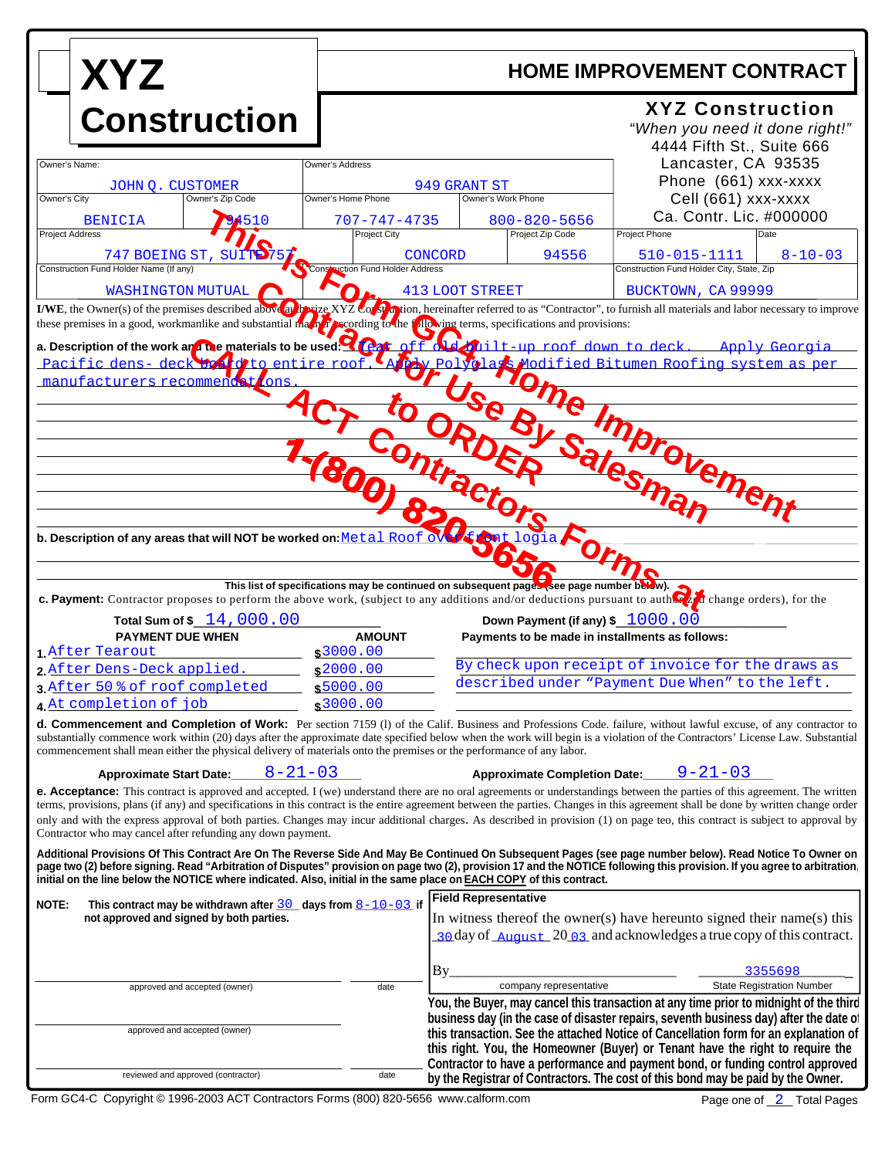| <b>XYZ</b>                                                                                                                                                                                                                                                                                                                                                                                                                                                                                                                                                                                                                                                                                                                                                                                                                                                                                                                                                                                                 |                                                       | <b>HOME IMPROVEMENT CONTRACT</b>                                                                                                                                                           |                                                                                                                                                                                                                                                                                                                                                    |  |
|------------------------------------------------------------------------------------------------------------------------------------------------------------------------------------------------------------------------------------------------------------------------------------------------------------------------------------------------------------------------------------------------------------------------------------------------------------------------------------------------------------------------------------------------------------------------------------------------------------------------------------------------------------------------------------------------------------------------------------------------------------------------------------------------------------------------------------------------------------------------------------------------------------------------------------------------------------------------------------------------------------|-------------------------------------------------------|--------------------------------------------------------------------------------------------------------------------------------------------------------------------------------------------|----------------------------------------------------------------------------------------------------------------------------------------------------------------------------------------------------------------------------------------------------------------------------------------------------------------------------------------------------|--|
| <b>Construction</b>                                                                                                                                                                                                                                                                                                                                                                                                                                                                                                                                                                                                                                                                                                                                                                                                                                                                                                                                                                                        |                                                       |                                                                                                                                                                                            | <b>XYZ Construction</b><br>"When you need it done right!"<br>4444 Fifth St., Suite 666                                                                                                                                                                                                                                                             |  |
| Owner's Name:<br><b>JOHN O. CUSTOMER</b><br>Owner's City<br>Owner's Zip Code                                                                                                                                                                                                                                                                                                                                                                                                                                                                                                                                                                                                                                                                                                                                                                                                                                                                                                                               | Owner's Address<br>949 GRANT ST<br>Owner's Home Phone |                                                                                                                                                                                            | Lancaster, CA 93535<br>Phone (661) xxx-xxxx                                                                                                                                                                                                                                                                                                        |  |
| <b>BENICIA</b>                                                                                                                                                                                                                                                                                                                                                                                                                                                                                                                                                                                                                                                                                                                                                                                                                                                                                                                                                                                             | 707-747-4735                                          | Owner's Work Phone<br>$800 - 820 - 5656$                                                                                                                                                   | Cell (661) xxx-xxxx<br>Ca. Contr. Lic. #000000                                                                                                                                                                                                                                                                                                     |  |
| <b>Project Address</b>                                                                                                                                                                                                                                                                                                                                                                                                                                                                                                                                                                                                                                                                                                                                                                                                                                                                                                                                                                                     | <b>Project City</b>                                   | Project Zip Code                                                                                                                                                                           | Project Phone<br>Date                                                                                                                                                                                                                                                                                                                              |  |
| 747 BOEING ST, SUITE 75                                                                                                                                                                                                                                                                                                                                                                                                                                                                                                                                                                                                                                                                                                                                                                                                                                                                                                                                                                                    |                                                       | 94556<br>CONCORD                                                                                                                                                                           | 510-015-1111<br>$8 - 10 - 03$                                                                                                                                                                                                                                                                                                                      |  |
| Construction Fund Holder Name (If any)                                                                                                                                                                                                                                                                                                                                                                                                                                                                                                                                                                                                                                                                                                                                                                                                                                                                                                                                                                     | Construction Fund Holder Address                      |                                                                                                                                                                                            | Construction Fund Holder City, State, Zip                                                                                                                                                                                                                                                                                                          |  |
| <b>WASHINGTON MUTUAL</b>                                                                                                                                                                                                                                                                                                                                                                                                                                                                                                                                                                                                                                                                                                                                                                                                                                                                                                                                                                                   |                                                       | <b>413 LOOT STREET</b>                                                                                                                                                                     | BUCKTOWN, CA 99999                                                                                                                                                                                                                                                                                                                                 |  |
| I/WE, the Owner(s) of the premises described above and $\frac{1}{2}$ is $\frac{1}{2}$ is $\frac{1}{2}$ is $\frac{1}{2}$ is $\frac{1}{2}$ is $\frac{1}{2}$ is $\frac{1}{2}$ is $\frac{1}{2}$ is $\frac{1}{2}$ is $\frac{1}{2}$ is $\frac{1}{2}$ is $\frac{1}{2}$ is $\frac{1}{2}$<br>these premises in a good, workmanlike and substantial matrix recording to the $f_{\text{A}}$ proving terms, specifications and provisions:                                                                                                                                                                                                                                                                                                                                                                                                                                                                                                                                                                             |                                                       |                                                                                                                                                                                            |                                                                                                                                                                                                                                                                                                                                                    |  |
| Pacific dens-deck board to entire roof.<br>manufacturers recommendat<br>ons<br>b. Description of any areas that will NOT be worked on: Metal Roof over<br>c. Payment: Contractor proposes to perform the above work, (subject to any additions and/or deductions pursuant to author at change orders), for the<br>Total Sum of \$ 14,000.00<br><b>PAYMENT DUE WHEN</b><br>1 After Tearout<br>2 After Dens-Deck applied.<br>3 After 50 % of roof completed                                                                                                                                                                                                                                                                                                                                                                                                                                                                                                                                                  | <b>AMOUNT</b><br>\$3000.00<br>\$2000.00<br>\$5000.00  | Use BV<br>This list of specifications may be continued on subsequent pages (see page number below).<br>Down Payment (if any) \$ 1000.00<br>Payments to be made in installments as follows: | A Polyglas Modified Bitumen Roofing system as per<br>Home Improvement<br>By check upon receipt of invoice for the draws as<br>described under "Payment Due When" to the left.                                                                                                                                                                      |  |
| 4. At completion of job<br>d. Commencement and Completion of Work: Per section 7159 (1) of the Calif. Business and Professions Code. failure, without lawful excuse, of any contractor to<br>substantially commence work within (20) days after the approximate date specified below when the work will begin is a violation of the Contractors' License Law. Substantial                                                                                                                                                                                                                                                                                                                                                                                                                                                                                                                                                                                                                                  | \$3000.00                                             |                                                                                                                                                                                            |                                                                                                                                                                                                                                                                                                                                                    |  |
| commencement shall mean either the physical delivery of materials onto the premises or the performance of any labor.                                                                                                                                                                                                                                                                                                                                                                                                                                                                                                                                                                                                                                                                                                                                                                                                                                                                                       |                                                       |                                                                                                                                                                                            |                                                                                                                                                                                                                                                                                                                                                    |  |
| $8 - 21 - 03$<br><b>Approximate Start Date:</b><br>e. Acceptance: This contract is approved and accepted. I (we) understand there are no oral agreements or understandings between the parties of this agreement. The written<br>terms, provisions, plans (if any) and specifications in this contract is the entire agreement between the parties. Changes in this agreement shall be done by written change order<br>only and with the express approval of both parties. Changes may incur additional charges. As described in provision (1) on page teo, this contract is subject to approval by<br>Contractor who may cancel after refunding any down payment.<br>Additional Provisions Of This Contract Are On The Reverse Side And May Be Continued On Subsequent Pages (see page number below). Read Notice To Owner on<br>page two (2) before signing. Read "Arbitration of Disputes" provision on page two (2), provision 17 and the NOTICE following this provision. If you agree to arbitration |                                                       | <b>Approximate Completion Date:</b>                                                                                                                                                        | $9 - 21 - 03$                                                                                                                                                                                                                                                                                                                                      |  |
| initial on the line below the NOTICE where indicated. Also, initial in the same place on EACH COPY of this contract.                                                                                                                                                                                                                                                                                                                                                                                                                                                                                                                                                                                                                                                                                                                                                                                                                                                                                       |                                                       | <b>Field Representative</b>                                                                                                                                                                |                                                                                                                                                                                                                                                                                                                                                    |  |
| This contract may be withdrawn after $\frac{30}{20}$ days from $\frac{8-10-03}{2}$ if<br>NOTE:<br>not approved and signed by both parties.                                                                                                                                                                                                                                                                                                                                                                                                                                                                                                                                                                                                                                                                                                                                                                                                                                                                 |                                                       |                                                                                                                                                                                            | In witness thereof the owner(s) have hereunto signed their name(s) this<br>30 day of August 20 03 and acknowledges a true copy of this contract.                                                                                                                                                                                                   |  |
|                                                                                                                                                                                                                                                                                                                                                                                                                                                                                                                                                                                                                                                                                                                                                                                                                                                                                                                                                                                                            |                                                       | $By_$<br>company representative                                                                                                                                                            | 3355698                                                                                                                                                                                                                                                                                                                                            |  |
| approved and accepted (owner)                                                                                                                                                                                                                                                                                                                                                                                                                                                                                                                                                                                                                                                                                                                                                                                                                                                                                                                                                                              | date                                                  |                                                                                                                                                                                            | <b>State Registration Number</b><br>You, the Buyer, may cancel this transaction at any time prior to midnight of the third                                                                                                                                                                                                                         |  |
| approved and accepted (owner)                                                                                                                                                                                                                                                                                                                                                                                                                                                                                                                                                                                                                                                                                                                                                                                                                                                                                                                                                                              |                                                       |                                                                                                                                                                                            | business day (in the case of disaster repairs, seventh business day) after the date of<br>this transaction. See the attached Notice of Cancellation form for an explanation of<br>this right. You, the Homeowner (Buyer) or Tenant have the right to require the<br>Contractor to have a performance and payment bond, or funding control approved |  |
| reviewed and approved (contractor)                                                                                                                                                                                                                                                                                                                                                                                                                                                                                                                                                                                                                                                                                                                                                                                                                                                                                                                                                                         | date                                                  |                                                                                                                                                                                            | by the Registrar of Contractors. The cost of this bond may be paid by the Owner.                                                                                                                                                                                                                                                                   |  |